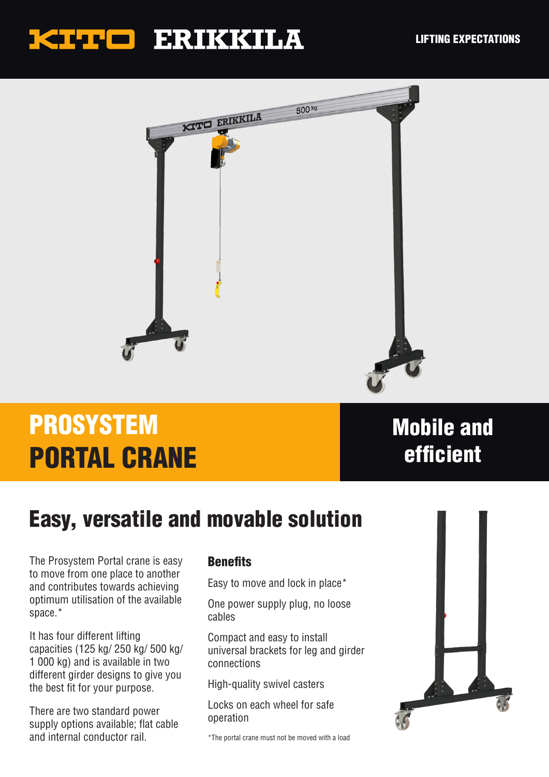## KITTE ERIKKILA



# PROSYSTEM PORTAL CRANE

#### Mobile and efficient

### Easy, versatile and movable solution

The Prosystem Portal crane is easy to move from one place to another and contributes towards achieving optimum utilisation of the available space.\*

It has four different lifting capacities (125 kg/ 250 kg/ 500 kg/ 1 000 kg) and is available in two different girder designs to give you the best fit for your purpose.

There are two standard power supply options available; flat cable and internal conductor rail.

#### **Renefits**

Easy to move and lock in place\*

One power supply plug, no loose cables

Compact and easy to install universal brackets for leg and girder connections

High-quality swivel casters

Locks on each wheel for safe operation

\*The portal crane must not be moved with a load